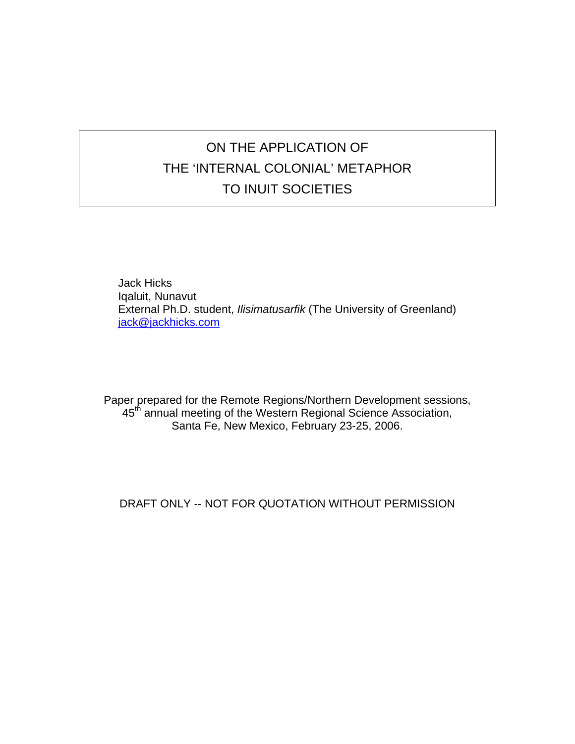# ON THE APPLICATION OF THE 'INTERNAL COLONIAL' METAPHOR TO INUIT SOCIETIES

Jack Hicks Iqaluit, Nunavut External Ph.D. student, *Ilisimatusarfik* (The University of Greenland) jack@jackhicks.com

Paper prepared for the Remote Regions/Northern Development sessions, 45th annual meeting of the Western Regional Science Association, Santa Fe, New Mexico, February 23-25, 2006.

DRAFT ONLY -- NOT FOR QUOTATION WITHOUT PERMISSION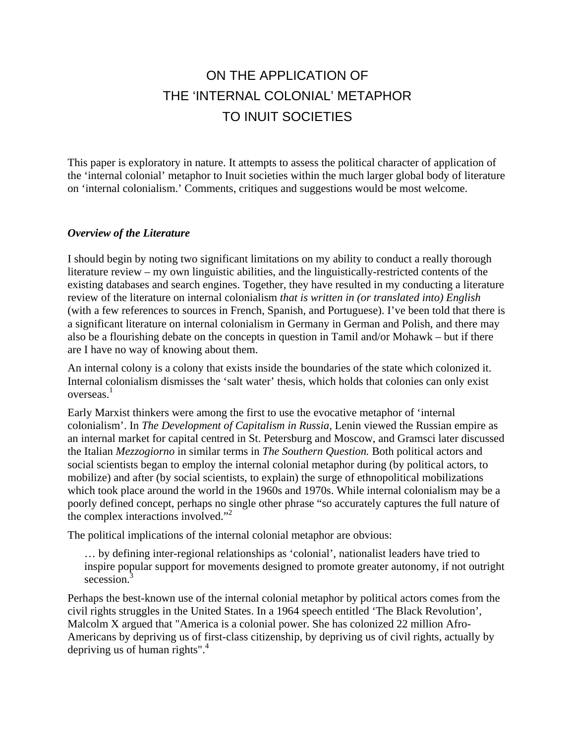# ON THE APPLICATION OF THE 'INTERNAL COLONIAL' METAPHOR TO INUIT SOCIETIES

This paper is exploratory in nature. It attempts to assess the political character of application of the 'internal colonial' metaphor to Inuit societies within the much larger global body of literature on 'internal colonialism.' Comments, critiques and suggestions would be most welcome.

## *Overview of the Literature*

I should begin by noting two significant limitations on my ability to conduct a really thorough literature review – my own linguistic abilities, and the linguistically-restricted contents of the existing databases and search engines. Together, they have resulted in my conducting a literature review of the literature on internal colonialism *that is written in (or translated into) English* (with a few references to sources in French, Spanish, and Portuguese). I've been told that there is a significant literature on internal colonialism in Germany in German and Polish, and there may also be a flourishing debate on the concepts in question in Tamil and/or Mohawk – but if there are I have no way of knowing about them.

An internal colony is a colony that exists inside the boundaries of the state which colonized it. Internal colonialism dismisses the 'salt water' thesis, which holds that colonies can only exist overseas.<sup>1</sup>

Early Marxist thinkers were among the first to use the evocative metaphor of 'internal colonialism'. In *The Development of Capitalism in Russia,* Lenin viewed the Russian empire as an internal market for capital centred in St. Petersburg and Moscow, and Gramsci later discussed the Italian *Mezzogiorno* in similar terms in *The Southern Question.* Both political actors and social scientists began to employ the internal colonial metaphor during (by political actors, to mobilize) and after (by social scientists, to explain) the surge of ethnopolitical mobilizations which took place around the world in the 1960s and 1970s. While internal colonialism may be a poorly defined concept, perhaps no single other phrase "so accurately captures the full nature of the complex interactions involved."<sup>2</sup>

The political implications of the internal colonial metaphor are obvious:

… by defining inter-regional relationships as 'colonial', nationalist leaders have tried to inspire popular support for movements designed to promote greater autonomy, if not outright secession.<sup>3</sup>

Perhaps the best-known use of the internal colonial metaphor by political actors comes from the civil rights struggles in the United States. In a 1964 speech entitled 'The Black Revolution', Malcolm X argued that "America is a colonial power. She has colonized 22 million Afro-Americans by depriving us of first-class citizenship, by depriving us of civil rights, actually by depriving us of human rights". $4$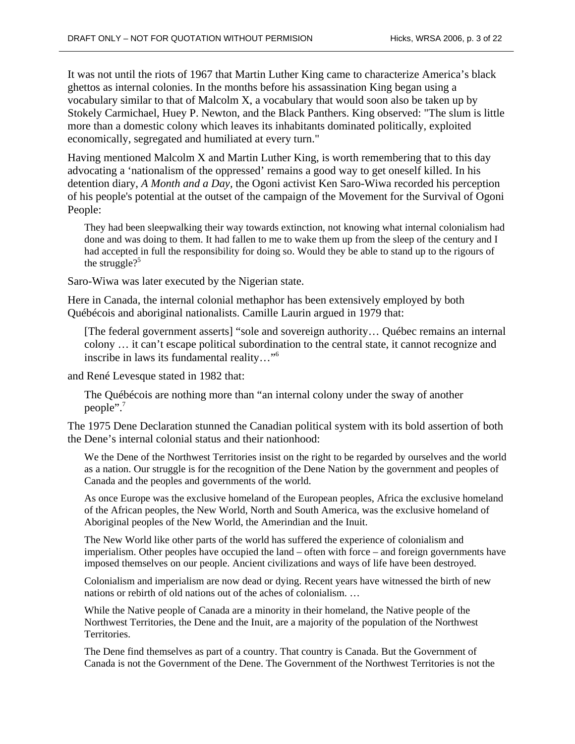It was not until the riots of 1967 that Martin Luther King came to characterize America's black ghettos as internal colonies. In the months before his assassination King began using a vocabulary similar to that of Malcolm X, a vocabulary that would soon also be taken up by Stokely Carmichael, Huey P. Newton, and the Black Panthers. King observed: "The slum is little more than a domestic colony which leaves its inhabitants dominated politically, exploited economically, segregated and humiliated at every turn."

Having mentioned Malcolm X and Martin Luther King, is worth remembering that to this day advocating a 'nationalism of the oppressed' remains a good way to get oneself killed. In his detention diary, *A Month and a Day,* the Ogoni activist Ken Saro-Wiwa recorded his perception of his people's potential at the outset of the campaign of the Movement for the Survival of Ogoni People:

They had been sleepwalking their way towards extinction, not knowing what internal colonialism had done and was doing to them. It had fallen to me to wake them up from the sleep of the century and I had accepted in full the responsibility for doing so. Would they be able to stand up to the rigours of the struggle? $5$ 

Saro-Wiwa was later executed by the Nigerian state.

Here in Canada, the internal colonial methaphor has been extensively employed by both Québécois and aboriginal nationalists. Camille Laurin argued in 1979 that:

[The federal government asserts] "sole and sovereign authority… Québec remains an internal colony … it can't escape political subordination to the central state, it cannot recognize and inscribe in laws its fundamental reality…"6

and René Levesque stated in 1982 that:

The Québécois are nothing more than "an internal colony under the sway of another people".7

The 1975 Dene Declaration stunned the Canadian political system with its bold assertion of both the Dene's internal colonial status and their nationhood:

We the Dene of the Northwest Territories insist on the right to be regarded by ourselves and the world as a nation. Our struggle is for the recognition of the Dene Nation by the government and peoples of Canada and the peoples and governments of the world.

As once Europe was the exclusive homeland of the European peoples, Africa the exclusive homeland of the African peoples, the New World, North and South America, was the exclusive homeland of Aboriginal peoples of the New World, the Amerindian and the Inuit.

The New World like other parts of the world has suffered the experience of colonialism and imperialism. Other peoples have occupied the land – often with force – and foreign governments have imposed themselves on our people. Ancient civilizations and ways of life have been destroyed.

Colonialism and imperialism are now dead or dying. Recent years have witnessed the birth of new nations or rebirth of old nations out of the aches of colonialism. …

While the Native people of Canada are a minority in their homeland, the Native people of the Northwest Territories, the Dene and the Inuit, are a majority of the population of the Northwest Territories.

The Dene find themselves as part of a country. That country is Canada. But the Government of Canada is not the Government of the Dene. The Government of the Northwest Territories is not the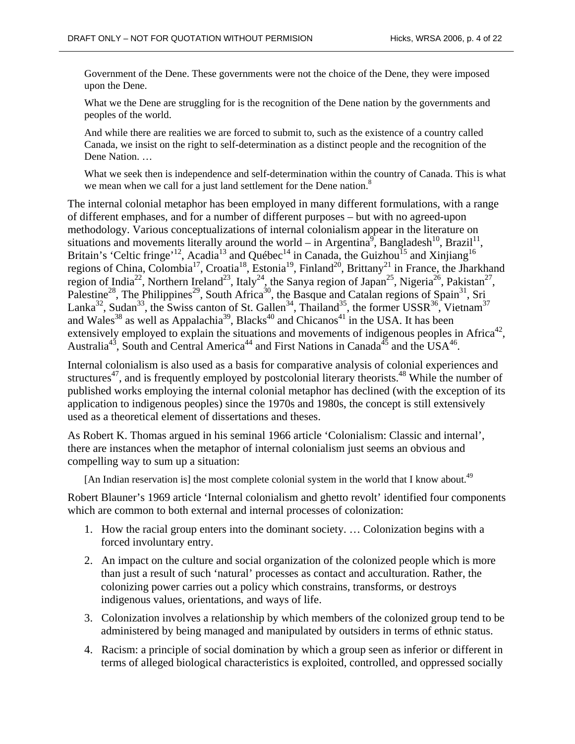Government of the Dene. These governments were not the choice of the Dene, they were imposed upon the Dene.

What we the Dene are struggling for is the recognition of the Dene nation by the governments and peoples of the world.

And while there are realities we are forced to submit to, such as the existence of a country called Canada, we insist on the right to self-determination as a distinct people and the recognition of the Dene Nation. …

What we seek then is independence and self-determination within the country of Canada. This is what we mean when we call for a just land settlement for the Dene nation.<sup>8</sup>

The internal colonial metaphor has been employed in many different formulations, with a range of different emphases, and for a number of different purposes – but with no agreed-upon methodology. Various conceptualizations of internal colonialism appear in the literature on situations and movements literally around the world – in Argentina<sup>9</sup>, Bangladesh<sup>10</sup>, Brazil<sup>11</sup>, Britain's 'Celtic fringe'<sup>12</sup>, Acadia<sup>13</sup> and Québec<sup>14</sup> in Canada, the Guizhou<sup>15</sup> and Xinjiang<sup>16</sup> regions of China, Colombia<sup>17</sup>, Croatia<sup>18</sup>, Estonia<sup>19</sup>, Finland<sup>20</sup>, Brittany<sup>21</sup> in France, the Jharkhand region of India<sup>22</sup>, Northern Ireland<sup>23</sup>, Italy<sup>24</sup>, the Sanya region of Japan<sup>25</sup>, Nigeria<sup>26</sup>, Pakistan<sup>27</sup>, Palestine<sup>28</sup>, The Philippines<sup>29</sup>, South Africa<sup>30</sup>, the Basque and Catalan regions of Spain<sup>31</sup>, Sri Lanka<sup>32</sup>, Sudan<sup>33</sup>, the Swiss canton of St. Gallen<sup>34</sup>, Thailand<sup>35</sup>, the former USSR<sup>36</sup>, Vietnam<sup>37</sup> and Wales<sup>38</sup> as well as Appalachia<sup>39</sup>, Blacks<sup>40</sup> and Chicanos<sup>41</sup> in the USA. It has been extensively employed to explain the situations and movements of indigenous peoples in Africa<sup>42</sup>, Australia<sup>43</sup>, South and Central America<sup>44</sup> and First Nations in Canada<sup>45</sup> and the USA<sup>46</sup>.

Internal colonialism is also used as a basis for comparative analysis of colonial experiences and structures<sup>47</sup>, and is frequently employed by postcolonial literary theorists.<sup>48</sup> While the number of published works employing the internal colonial metaphor has declined (with the exception of its application to indigenous peoples) since the 1970s and 1980s, the concept is still extensively used as a theoretical element of dissertations and theses.

As Robert K. Thomas argued in his seminal 1966 article 'Colonialism: Classic and internal', there are instances when the metaphor of internal colonialism just seems an obvious and compelling way to sum up a situation:

[An Indian reservation is] the most complete colonial system in the world that I know about.<sup>49</sup>

Robert Blauner's 1969 article 'Internal colonialism and ghetto revolt' identified four components which are common to both external and internal processes of colonization:

- 1. How the racial group enters into the dominant society. … Colonization begins with a forced involuntary entry.
- 2. An impact on the culture and social organization of the colonized people which is more than just a result of such 'natural' processes as contact and acculturation. Rather, the colonizing power carries out a policy which constrains, transforms, or destroys indigenous values, orientations, and ways of life.
- 3. Colonization involves a relationship by which members of the colonized group tend to be administered by being managed and manipulated by outsiders in terms of ethnic status.
- 4. Racism: a principle of social domination by which a group seen as inferior or different in terms of alleged biological characteristics is exploited, controlled, and oppressed socially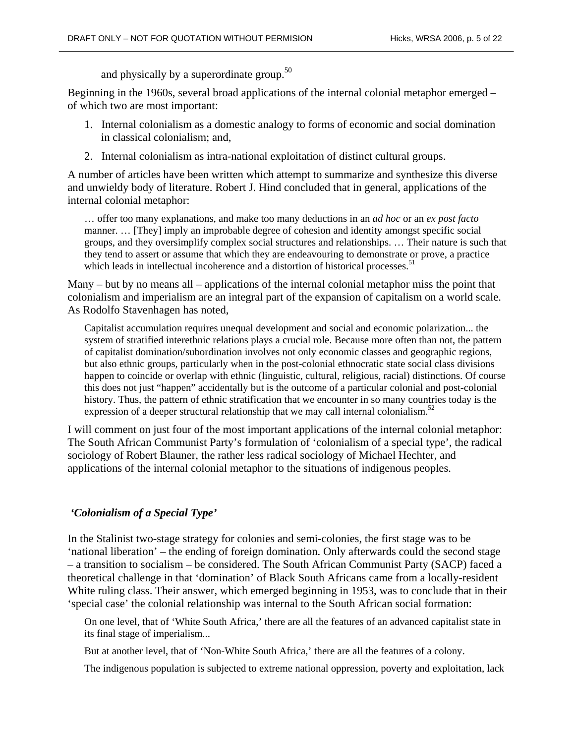and physically by a superordinate group.<sup>50</sup>

Beginning in the 1960s, several broad applications of the internal colonial metaphor emerged – of which two are most important:

- 1. Internal colonialism as a domestic analogy to forms of economic and social domination in classical colonialism; and,
- 2. Internal colonialism as intra-national exploitation of distinct cultural groups.

A number of articles have been written which attempt to summarize and synthesize this diverse and unwieldy body of literature. Robert J. Hind concluded that in general, applications of the internal colonial metaphor:

… offer too many explanations, and make too many deductions in an *ad hoc* or an *ex post facto* manner. … [They] imply an improbable degree of cohesion and identity amongst specific social groups, and they oversimplify complex social structures and relationships. … Their nature is such that they tend to assert or assume that which they are endeavouring to demonstrate or prove, a practice which leads in intellectual incoherence and a distortion of historical processes.<sup>51</sup>

Many – but by no means all – applications of the internal colonial metaphor miss the point that colonialism and imperialism are an integral part of the expansion of capitalism on a world scale. As Rodolfo Stavenhagen has noted,

Capitalist accumulation requires unequal development and social and economic polarization... the system of stratified interethnic relations plays a crucial role. Because more often than not, the pattern of capitalist domination/subordination involves not only economic classes and geographic regions, but also ethnic groups, particularly when in the post-colonial ethnocratic state social class divisions happen to coincide or overlap with ethnic (linguistic, cultural, religious, racial) distinctions. Of course this does not just "happen" accidentally but is the outcome of a particular colonial and post-colonial history. Thus, the pattern of ethnic stratification that we encounter in so many countries today is the expression of a deeper structural relationship that we may call internal colonialism.<sup>52</sup>

I will comment on just four of the most important applications of the internal colonial metaphor: The South African Communist Party's formulation of 'colonialism of a special type', the radical sociology of Robert Blauner, the rather less radical sociology of Michael Hechter, and applications of the internal colonial metaphor to the situations of indigenous peoples.

## *'Colonialism of a Special Type'*

In the Stalinist two-stage strategy for colonies and semi-colonies, the first stage was to be 'national liberation' – the ending of foreign domination. Only afterwards could the second stage – a transition to socialism – be considered. The South African Communist Party (SACP) faced a theoretical challenge in that 'domination' of Black South Africans came from a locally-resident White ruling class. Their answer, which emerged beginning in 1953, was to conclude that in their 'special case' the colonial relationship was internal to the South African social formation:

On one level, that of 'White South Africa,' there are all the features of an advanced capitalist state in its final stage of imperialism...

But at another level, that of 'Non-White South Africa,' there are all the features of a colony.

The indigenous population is subjected to extreme national oppression, poverty and exploitation, lack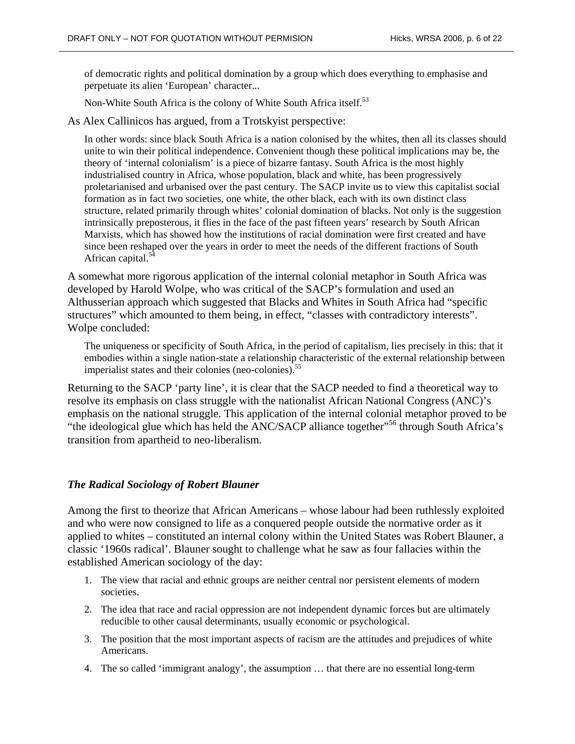of democratic rights and political domination by a group which does everything to emphasise and perpetuate its alien 'European' character...

Non-White South Africa is the colony of White South Africa itself.<sup>53</sup>

As Alex Callinicos has argued, from a Trotskyist perspective:

In other words: since black South Africa is a nation colonised by the whites, then all its classes should unite to win their political independence. Convenient though these political implications may be, the theory of 'internal colonialism' is a piece of bizarre fantasy. South Africa is the most highly industrialised country in Africa, whose population, black and white, has been progressively proletarianised and urbanised over the past century. The SACP invite us to view this capitalist social formation as in fact two societies, one white, the other black, each with its own distinct class structure, related primarily through whites' colonial domination of blacks. Not only is the suggestion intrinsically preposterous, it flies in the face of the past fifteen years' research by South African Marxists, which has showed how the institutions of racial domination were first created and have since been reshaped over the years in order to meet the needs of the different fractions of South African capital.<sup>54</sup>

A somewhat more rigorous application of the internal colonial metaphor in South Africa was developed by Harold Wolpe, who was critical of the SACP's formulation and used an Althusserian approach which suggested that Blacks and Whites in South Africa had "specific structures" which amounted to them being, in effect, "classes with contradictory interests". Wolpe concluded:

The uniqueness or specificity of South Africa, in the period of capitalism, lies precisely in this: that it embodies within a single nation-state a relationship characteristic of the external relationship between imperialist states and their colonies (neo-colonies).<sup>55</sup>

Returning to the SACP 'party line', it is clear that the SACP needed to find a theoretical way to resolve its emphasis on class struggle with the nationalist African National Congress (ANC)'s emphasis on the national struggle. This application of the internal colonial metaphor proved to be "the ideological glue which has held the ANC/SACP alliance together"<sup>56</sup> through South Africa's transition from apartheid to neo-liberalism.

#### *The Radical Sociology of Robert Blauner*

Among the first to theorize that African Americans – whose labour had been ruthlessly exploited and who were now consigned to life as a conquered people outside the normative order as it applied to whites – constituted an internal colony within the United States was Robert Blauner, a classic '1960s radical'. Blauner sought to challenge what he saw as four fallacies within the established American sociology of the day:

- 1. The view that racial and ethnic groups are neither central nor persistent elements of modern societies.
- 2. The idea that race and racial oppression are not independent dynamic forces but are ultimately reducible to other causal determinants, usually economic or psychological.
- 3. The position that the most important aspects of racism are the attitudes and prejudices of white Americans.
- 4. The so called 'immigrant analogy', the assumption … that there are no essential long-term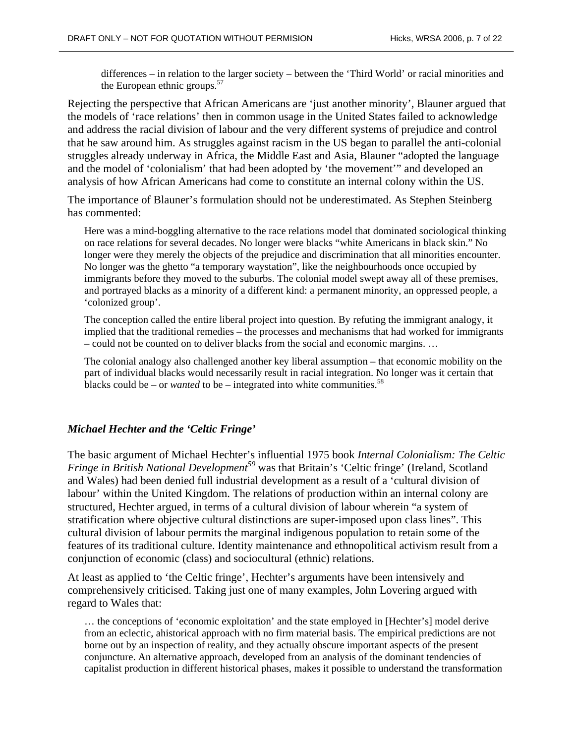differences – in relation to the larger society – between the 'Third World' or racial minorities and the European ethnic groups.<sup>57</sup>

Rejecting the perspective that African Americans are 'just another minority', Blauner argued that the models of 'race relations' then in common usage in the United States failed to acknowledge and address the racial division of labour and the very different systems of prejudice and control that he saw around him. As struggles against racism in the US began to parallel the anti-colonial struggles already underway in Africa, the Middle East and Asia, Blauner "adopted the language and the model of 'colonialism' that had been adopted by 'the movement'" and developed an analysis of how African Americans had come to constitute an internal colony within the US.

The importance of Blauner's formulation should not be underestimated. As Stephen Steinberg has commented:

Here was a mind-boggling alternative to the race relations model that dominated sociological thinking on race relations for several decades. No longer were blacks "white Americans in black skin." No longer were they merely the objects of the prejudice and discrimination that all minorities encounter. No longer was the ghetto "a temporary waystation", like the neighbourhoods once occupied by immigrants before they moved to the suburbs. The colonial model swept away all of these premises, and portrayed blacks as a minority of a different kind: a permanent minority, an oppressed people, a 'colonized group'.

The conception called the entire liberal project into question. By refuting the immigrant analogy, it implied that the traditional remedies – the processes and mechanisms that had worked for immigrants – could not be counted on to deliver blacks from the social and economic margins. …

The colonial analogy also challenged another key liberal assumption – that economic mobility on the part of individual blacks would necessarily result in racial integration. No longer was it certain that blacks could be – or *wanted* to be – integrated into white communities.<sup>58</sup>

## *Michael Hechter and the 'Celtic Fringe'*

The basic argument of Michael Hechter's influential 1975 book *Internal Colonialism: The Celtic Fringe in British National Development*<sup>59</sup> was that Britain's 'Celtic fringe' (Ireland, Scotland and Wales) had been denied full industrial development as a result of a 'cultural division of labour' within the United Kingdom. The relations of production within an internal colony are structured, Hechter argued, in terms of a cultural division of labour wherein "a system of stratification where objective cultural distinctions are super-imposed upon class lines". This cultural division of labour permits the marginal indigenous population to retain some of the features of its traditional culture. Identity maintenance and ethnopolitical activism result from a conjunction of economic (class) and sociocultural (ethnic) relations.

At least as applied to 'the Celtic fringe', Hechter's arguments have been intensively and comprehensively criticised. Taking just one of many examples, John Lovering argued with regard to Wales that:

… the conceptions of 'economic exploitation' and the state employed in [Hechter's] model derive from an eclectic, ahistorical approach with no firm material basis. The empirical predictions are not borne out by an inspection of reality, and they actually obscure important aspects of the present conjuncture. An alternative approach, developed from an analysis of the dominant tendencies of capitalist production in different historical phases, makes it possible to understand the transformation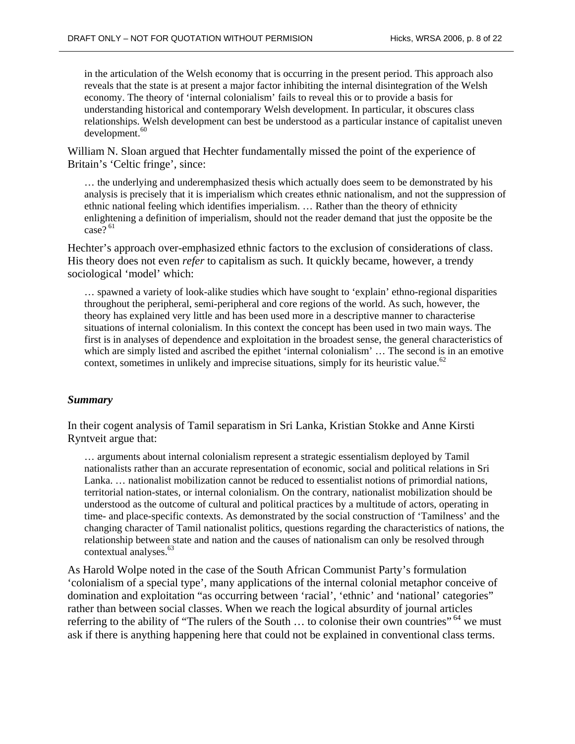in the articulation of the Welsh economy that is occurring in the present period. This approach also reveals that the state is at present a major factor inhibiting the internal disintegration of the Welsh economy. The theory of 'internal colonialism' fails to reveal this or to provide a basis for understanding historical and contemporary Welsh development. In particular, it obscures class relationships. Welsh development can best be understood as a particular instance of capitalist uneven development.<sup>60</sup>

William N. Sloan argued that Hechter fundamentally missed the point of the experience of Britain's 'Celtic fringe', since:

… the underlying and underemphasized thesis which actually does seem to be demonstrated by his analysis is precisely that it is imperialism which creates ethnic nationalism, and not the suppression of ethnic national feeling which identifies imperialism. … Rather than the theory of ethnicity enlightening a definition of imperialism, should not the reader demand that just the opposite be the case $2^{61}$ 

Hechter's approach over-emphasized ethnic factors to the exclusion of considerations of class. His theory does not even *refer* to capitalism as such. It quickly became, however, a trendy sociological 'model' which:

… spawned a variety of look-alike studies which have sought to 'explain' ethno-regional disparities throughout the peripheral, semi-peripheral and core regions of the world. As such, however, the theory has explained very little and has been used more in a descriptive manner to characterise situations of internal colonialism. In this context the concept has been used in two main ways. The first is in analyses of dependence and exploitation in the broadest sense, the general characteristics of which are simply listed and ascribed the epithet 'internal colonialism' ... The second is in an emotive context, sometimes in unlikely and imprecise situations, simply for its heuristic value.<sup>62</sup>

#### *Summary*

In their cogent analysis of Tamil separatism in Sri Lanka, Kristian Stokke and Anne Kirsti Ryntveit argue that:

… arguments about internal colonialism represent a strategic essentialism deployed by Tamil nationalists rather than an accurate representation of economic, social and political relations in Sri Lanka. … nationalist mobilization cannot be reduced to essentialist notions of primordial nations, territorial nation-states, or internal colonialism. On the contrary, nationalist mobilization should be understood as the outcome of cultural and political practices by a multitude of actors, operating in time- and place-specific contexts. As demonstrated by the social construction of 'Tamilness' and the changing character of Tamil nationalist politics, questions regarding the characteristics of nations, the relationship between state and nation and the causes of nationalism can only be resolved through contextual analyses.<sup>63</sup>

As Harold Wolpe noted in the case of the South African Communist Party's formulation 'colonialism of a special type', many applications of the internal colonial metaphor conceive of domination and exploitation "as occurring between 'racial', 'ethnic' and 'national' categories" rather than between social classes. When we reach the logical absurdity of journal articles referring to the ability of "The rulers of the South ... to colonise their own countries" <sup>64</sup> we must ask if there is anything happening here that could not be explained in conventional class terms.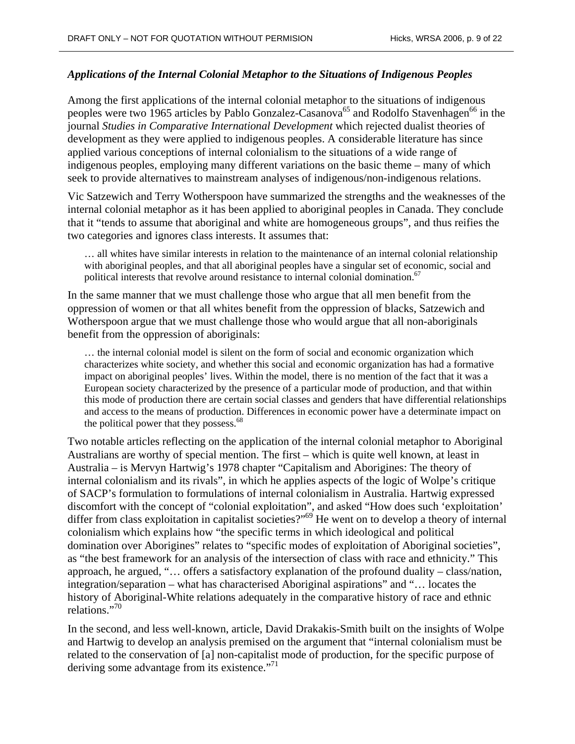## *Applications of the Internal Colonial Metaphor to the Situations of Indigenous Peoples*

Among the first applications of the internal colonial metaphor to the situations of indigenous peoples were two 1965 articles by Pablo Gonzalez-Casanova<sup>65</sup> and Rodolfo Stavenhagen<sup>66</sup> in the journal *Studies in Comparative International Development* which rejected dualist theories of development as they were applied to indigenous peoples. A considerable literature has since applied various conceptions of internal colonialism to the situations of a wide range of indigenous peoples, employing many different variations on the basic theme – many of which seek to provide alternatives to mainstream analyses of indigenous/non-indigenous relations.

Vic Satzewich and Terry Wotherspoon have summarized the strengths and the weaknesses of the internal colonial metaphor as it has been applied to aboriginal peoples in Canada. They conclude that it "tends to assume that aboriginal and white are homogeneous groups", and thus reifies the two categories and ignores class interests. It assumes that:

… all whites have similar interests in relation to the maintenance of an internal colonial relationship with aboriginal peoples, and that all aboriginal peoples have a singular set of economic, social and political interests that revolve around resistance to internal colonial domination.<sup>67</sup>

In the same manner that we must challenge those who argue that all men benefit from the oppression of women or that all whites benefit from the oppression of blacks, Satzewich and Wotherspoon argue that we must challenge those who would argue that all non-aboriginals benefit from the oppression of aboriginals:

… the internal colonial model is silent on the form of social and economic organization which characterizes white society, and whether this social and economic organization has had a formative impact on aboriginal peoples' lives. Within the model, there is no mention of the fact that it was a European society characterized by the presence of a particular mode of production, and that within this mode of production there are certain social classes and genders that have differential relationships and access to the means of production. Differences in economic power have a determinate impact on the political power that they possess.<sup>68</sup>

Two notable articles reflecting on the application of the internal colonial metaphor to Aboriginal Australians are worthy of special mention. The first – which is quite well known, at least in Australia – is Mervyn Hartwig's 1978 chapter "Capitalism and Aborigines: The theory of internal colonialism and its rivals", in which he applies aspects of the logic of Wolpe's critique of SACP's formulation to formulations of internal colonialism in Australia. Hartwig expressed discomfort with the concept of "colonial exploitation", and asked "How does such 'exploitation' differ from class exploitation in capitalist societies?"<sup>69</sup> He went on to develop a theory of internal colonialism which explains how "the specific terms in which ideological and political domination over Aborigines" relates to "specific modes of exploitation of Aboriginal societies", as "the best framework for an analysis of the intersection of class with race and ethnicity." This approach, he argued, "… offers a satisfactory explanation of the profound duality – class/nation, integration/separation – what has characterised Aboriginal aspirations" and "… locates the history of Aboriginal-White relations adequately in the comparative history of race and ethnic relations."70

In the second, and less well-known, article, David Drakakis-Smith built on the insights of Wolpe and Hartwig to develop an analysis premised on the argument that "internal colonialism must be related to the conservation of [a] non-capitalist mode of production, for the specific purpose of deriving some advantage from its existence."<sup>71</sup>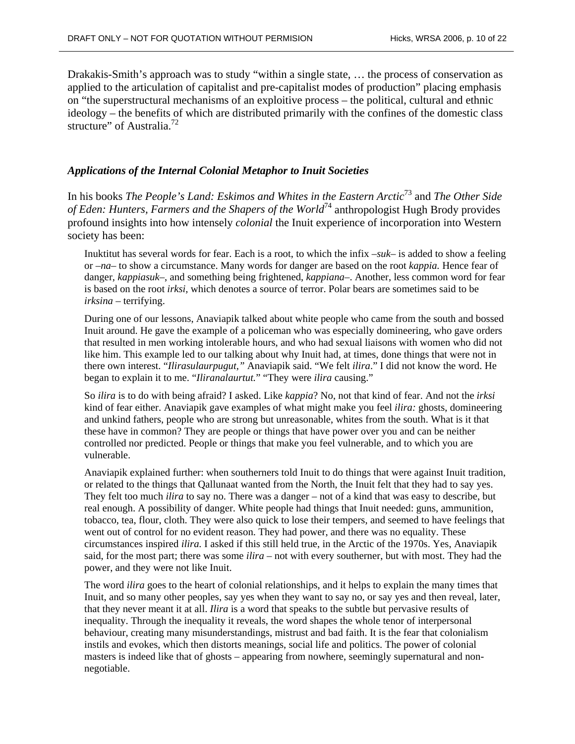Drakakis-Smith's approach was to study "within a single state, … the process of conservation as applied to the articulation of capitalist and pre-capitalist modes of production" placing emphasis on "the superstructural mechanisms of an exploitive process – the political, cultural and ethnic ideology – the benefits of which are distributed primarily with the confines of the domestic class structure" of Australia.<sup>72</sup>

#### *Applications of the Internal Colonial Metaphor to Inuit Societies*

In his books *The People's Land: Eskimos and Whites in the Eastern Arctic*73 and *The Other Side*  of Eden: Hunters, Farmers and the Shapers of the World<sup>74</sup> anthropologist Hugh Brody provides profound insights into how intensely *colonial* the Inuit experience of incorporation into Western society has been:

Inuktitut has several words for fear. Each is a root, to which the infix –*suk*– is added to show a feeling or –*na*– to show a circumstance. Many words for danger are based on the root *kappia.* Hence fear of danger, *kappiasuk*–, and something being frightened, *kappiana*–. Another, less common word for fear is based on the root *irksi,* which denotes a source of terror. Polar bears are sometimes said to be *irksina* – terrifying.

During one of our lessons, Anaviapik talked about white people who came from the south and bossed Inuit around. He gave the example of a policeman who was especially domineering, who gave orders that resulted in men working intolerable hours, and who had sexual liaisons with women who did not like him. This example led to our talking about why Inuit had, at times, done things that were not in there own interest. "*Ilirasulaurpugut,"* Anaviapik said. "We felt *ilira*." I did not know the word. He began to explain it to me. "*Iliranalaurtut.*" "They were *ilira* causing."

So *ilira* is to do with being afraid? I asked. Like *kappia*? No, not that kind of fear. And not the *irksi* kind of fear either. Anaviapik gave examples of what might make you feel *ilira:* ghosts, domineering and unkind fathers, people who are strong but unreasonable, whites from the south. What is it that these have in common? They are people or things that have power over you and can be neither controlled nor predicted. People or things that make you feel vulnerable, and to which you are vulnerable.

Anaviapik explained further: when southerners told Inuit to do things that were against Inuit tradition, or related to the things that Qallunaat wanted from the North, the Inuit felt that they had to say yes. They felt too much *ilira* to say no. There was a danger – not of a kind that was easy to describe, but real enough. A possibility of danger. White people had things that Inuit needed: guns, ammunition, tobacco, tea, flour, cloth. They were also quick to lose their tempers, and seemed to have feelings that went out of control for no evident reason. They had power, and there was no equality. These circumstances inspired *ilira.* I asked if this still held true, in the Arctic of the 1970s. Yes, Anaviapik said, for the most part; there was some *ilira* – not with every southerner, but with most. They had the power, and they were not like Inuit.

The word *ilira* goes to the heart of colonial relationships, and it helps to explain the many times that Inuit, and so many other peoples, say yes when they want to say no, or say yes and then reveal, later, that they never meant it at all. *Ilira* is a word that speaks to the subtle but pervasive results of inequality. Through the inequality it reveals, the word shapes the whole tenor of interpersonal behaviour, creating many misunderstandings, mistrust and bad faith. It is the fear that colonialism instils and evokes, which then distorts meanings, social life and politics. The power of colonial masters is indeed like that of ghosts – appearing from nowhere, seemingly supernatural and nonnegotiable.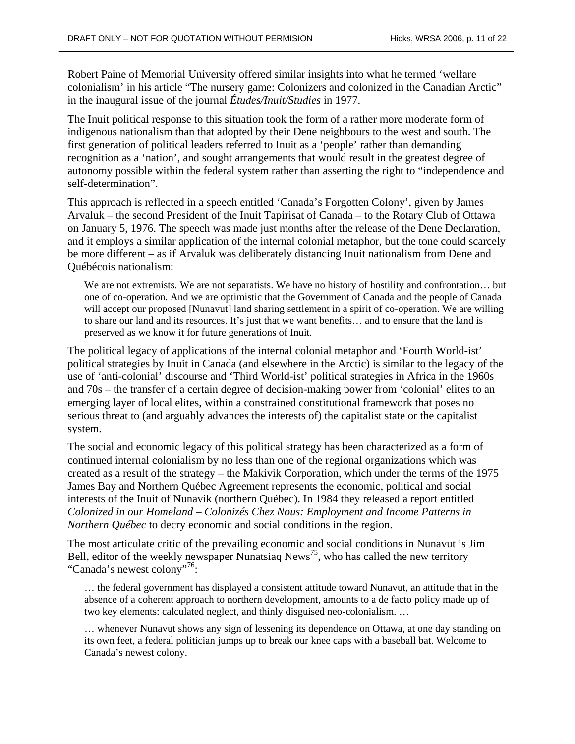Robert Paine of Memorial University offered similar insights into what he termed 'welfare colonialism' in his article "The nursery game: Colonizers and colonized in the Canadian Arctic" in the inaugural issue of the journal *Études/Inuit/Studies* in 1977.

The Inuit political response to this situation took the form of a rather more moderate form of indigenous nationalism than that adopted by their Dene neighbours to the west and south. The first generation of political leaders referred to Inuit as a 'people' rather than demanding recognition as a 'nation', and sought arrangements that would result in the greatest degree of autonomy possible within the federal system rather than asserting the right to "independence and self-determination".

This approach is reflected in a speech entitled 'Canada's Forgotten Colony', given by James Arvaluk – the second President of the Inuit Tapirisat of Canada – to the Rotary Club of Ottawa on January 5, 1976. The speech was made just months after the release of the Dene Declaration, and it employs a similar application of the internal colonial metaphor, but the tone could scarcely be more different – as if Arvaluk was deliberately distancing Inuit nationalism from Dene and Québécois nationalism:

We are not extremists. We are not separatists. We have no history of hostility and confrontation... but one of co-operation. And we are optimistic that the Government of Canada and the people of Canada will accept our proposed [Nunavut] land sharing settlement in a spirit of co-operation. We are willing to share our land and its resources. It's just that we want benefits… and to ensure that the land is preserved as we know it for future generations of Inuit.

The political legacy of applications of the internal colonial metaphor and 'Fourth World-ist' political strategies by Inuit in Canada (and elsewhere in the Arctic) is similar to the legacy of the use of 'anti-colonial' discourse and 'Third World-ist' political strategies in Africa in the 1960s and 70s – the transfer of a certain degree of decision-making power from 'colonial' elites to an emerging layer of local elites, within a constrained constitutional framework that poses no serious threat to (and arguably advances the interests of) the capitalist state or the capitalist system.

The social and economic legacy of this political strategy has been characterized as a form of continued internal colonialism by no less than one of the regional organizations which was created as a result of the strategy – the Makivik Corporation, which under the terms of the 1975 James Bay and Northern Québec Agreement represents the economic, political and social interests of the Inuit of Nunavik (northern Québec). In 1984 they released a report entitled *Colonized in our Homeland – Colonizés Chez Nous: Employment and Income Patterns in Northern Québec* to decry economic and social conditions in the region.

The most articulate critic of the prevailing economic and social conditions in Nunavut is Jim Bell, editor of the weekly newspaper Nunatsiaq News<sup>75</sup>, who has called the new territory "Canada's newest colony"<sup>76</sup>:

… the federal government has displayed a consistent attitude toward Nunavut, an attitude that in the absence of a coherent approach to northern development, amounts to a de facto policy made up of two key elements: calculated neglect, and thinly disguised neo-colonialism. …

… whenever Nunavut shows any sign of lessening its dependence on Ottawa, at one day standing on its own feet, a federal politician jumps up to break our knee caps with a baseball bat. Welcome to Canada's newest colony.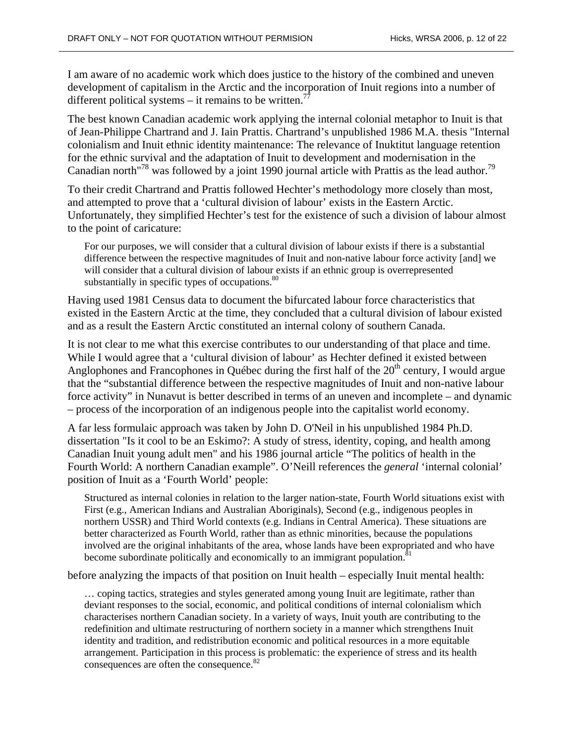I am aware of no academic work which does justice to the history of the combined and uneven development of capitalism in the Arctic and the incorporation of Inuit regions into a number of different political systems – it remains to be written.<sup>7</sup>

The best known Canadian academic work applying the internal colonial metaphor to Inuit is that of Jean-Philippe Chartrand and J. Iain Prattis. Chartrand's unpublished 1986 M.A. thesis "Internal colonialism and Inuit ethnic identity maintenance: The relevance of Inuktitut language retention for the ethnic survival and the adaptation of Inuit to development and modernisation in the Canadian north<sup>"78</sup> was followed by a joint 1990 journal article with Prattis as the lead author.<sup>79</sup>

To their credit Chartrand and Prattis followed Hechter's methodology more closely than most, and attempted to prove that a 'cultural division of labour' exists in the Eastern Arctic. Unfortunately, they simplified Hechter's test for the existence of such a division of labour almost to the point of caricature:

For our purposes, we will consider that a cultural division of labour exists if there is a substantial difference between the respective magnitudes of Inuit and non-native labour force activity [and] we will consider that a cultural division of labour exists if an ethnic group is overrepresented substantially in specific types of occupations. $80$ 

Having used 1981 Census data to document the bifurcated labour force characteristics that existed in the Eastern Arctic at the time, they concluded that a cultural division of labour existed and as a result the Eastern Arctic constituted an internal colony of southern Canada.

It is not clear to me what this exercise contributes to our understanding of that place and time. While I would agree that a 'cultural division of labour' as Hechter defined it existed between Anglophones and Francophones in Québec during the first half of the  $20<sup>th</sup>$  century, I would argue that the "substantial difference between the respective magnitudes of Inuit and non-native labour force activity" in Nunavut is better described in terms of an uneven and incomplete – and dynamic – process of the incorporation of an indigenous people into the capitalist world economy.

A far less formulaic approach was taken by John D. O'Neil in his unpublished 1984 Ph.D. dissertation "Is it cool to be an Eskimo?: A study of stress, identity, coping, and health among Canadian Inuit young adult men" and his 1986 journal article "The politics of health in the Fourth World: A northern Canadian example". O'Neill references the *general* 'internal colonial' position of Inuit as a 'Fourth World' people:

Structured as internal colonies in relation to the larger nation-state, Fourth World situations exist with First (e.g., American Indians and Australian Aboriginals), Second (e.g., indigenous peoples in northern USSR) and Third World contexts (e.g. Indians in Central America). These situations are better characterized as Fourth World, rather than as ethnic minorities, because the populations involved are the original inhabitants of the area, whose lands have been expropriated and who have become subordinate politically and economically to an immigrant population.<sup>81</sup>

before analyzing the impacts of that position on Inuit health – especially Inuit mental health:

… coping tactics, strategies and styles generated among young Inuit are legitimate, rather than deviant responses to the social, economic, and political conditions of internal colonialism which characterises northern Canadian society. In a variety of ways, Inuit youth are contributing to the redefinition and ultimate restructuring of northern society in a manner which strengthens Inuit identity and tradition, and redistribution economic and political resources in a more equitable arrangement. Participation in this process is problematic: the experience of stress and its health consequences are often the consequence.<sup>82</sup>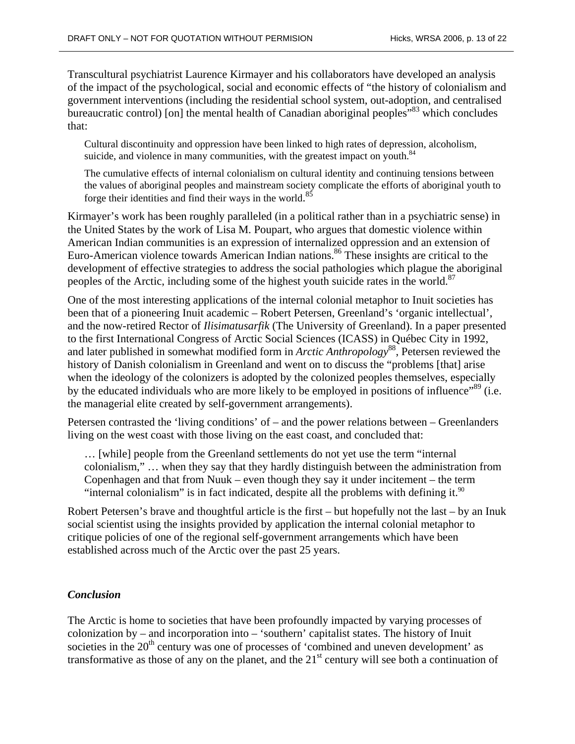Transcultural psychiatrist Laurence Kirmayer and his collaborators have developed an analysis of the impact of the psychological, social and economic effects of "the history of colonialism and government interventions (including the residential school system, out-adoption, and centralised bureaucratic control) [on] the mental health of Canadian aboriginal peoples<sup>383</sup> which concludes that:

Cultural discontinuity and oppression have been linked to high rates of depression, alcoholism, suicide, and violence in many communities, with the greatest impact on youth.<sup>84</sup>

The cumulative effects of internal colonialism on cultural identity and continuing tensions between the values of aboriginal peoples and mainstream society complicate the efforts of aboriginal youth to forge their identities and find their ways in the world.<sup>85</sup>

Kirmayer's work has been roughly paralleled (in a political rather than in a psychiatric sense) in the United States by the work of Lisa M. Poupart, who argues that domestic violence within American Indian communities is an expression of internalized oppression and an extension of Euro-American violence towards American Indian nations.<sup>86</sup> These insights are critical to the development of effective strategies to address the social pathologies which plague the aboriginal peoples of the Arctic, including some of the highest youth suicide rates in the world. $87$ 

One of the most interesting applications of the internal colonial metaphor to Inuit societies has been that of a pioneering Inuit academic – Robert Petersen, Greenland's 'organic intellectual', and the now-retired Rector of *Ilisimatusarfik* (The University of Greenland). In a paper presented to the first International Congress of Arctic Social Sciences (ICASS) in Québec City in 1992, and later published in somewhat modified form in *Arctic Anthropology*88, Petersen reviewed the history of Danish colonialism in Greenland and went on to discuss the "problems [that] arise when the ideology of the colonizers is adopted by the colonized peoples themselves, especially by the educated individuals who are more likely to be employed in positions of influence<sup>"89</sup> (i.e. the managerial elite created by self-government arrangements).

Petersen contrasted the 'living conditions' of – and the power relations between – Greenlanders living on the west coast with those living on the east coast, and concluded that:

… [while] people from the Greenland settlements do not yet use the term "internal colonialism," … when they say that they hardly distinguish between the administration from Copenhagen and that from Nuuk – even though they say it under incitement – the term "internal colonialism" is in fact indicated, despite all the problems with defining it.<sup>90</sup>

Robert Petersen's brave and thoughtful article is the first – but hopefully not the last – by an Inuk social scientist using the insights provided by application the internal colonial metaphor to critique policies of one of the regional self-government arrangements which have been established across much of the Arctic over the past 25 years.

## *Conclusion*

The Arctic is home to societies that have been profoundly impacted by varying processes of colonization by – and incorporation into – 'southern' capitalist states. The history of Inuit societies in the  $20<sup>th</sup>$  century was one of processes of 'combined and uneven development' as transformative as those of any on the planet, and the  $21<sup>st</sup>$  century will see both a continuation of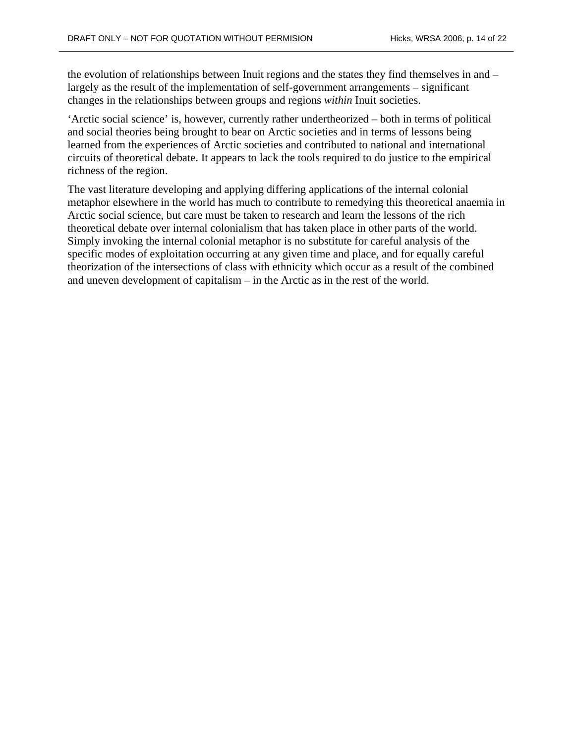the evolution of relationships between Inuit regions and the states they find themselves in and – largely as the result of the implementation of self-government arrangements – significant changes in the relationships between groups and regions *within* Inuit societies.

'Arctic social science' is, however, currently rather undertheorized – both in terms of political and social theories being brought to bear on Arctic societies and in terms of lessons being learned from the experiences of Arctic societies and contributed to national and international circuits of theoretical debate. It appears to lack the tools required to do justice to the empirical richness of the region.

The vast literature developing and applying differing applications of the internal colonial metaphor elsewhere in the world has much to contribute to remedying this theoretical anaemia in Arctic social science, but care must be taken to research and learn the lessons of the rich theoretical debate over internal colonialism that has taken place in other parts of the world. Simply invoking the internal colonial metaphor is no substitute for careful analysis of the specific modes of exploitation occurring at any given time and place, and for equally careful theorization of the intersections of class with ethnicity which occur as a result of the combined and uneven development of capitalism – in the Arctic as in the rest of the world.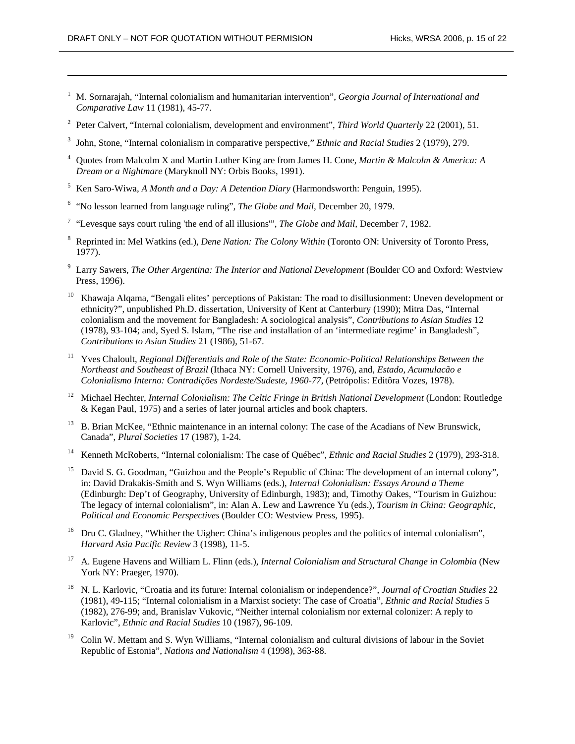$\overline{a}$ 

- <sup>1</sup> M. Sornarajah, "Internal colonialism and humanitarian intervention", *Georgia Journal of International and Comparative Law* 11 (1981), 45-77.
- <sup>2</sup> Peter Calvert, "Internal colonialism, development and environment", *Third World Quarterly* 22 (2001), 51.
- 3 John, Stone, "Internal colonialism in comparative perspective," *Ethnic and Racial Studies* 2 (1979), 279.
- 4 Quotes from Malcolm X and Martin Luther King are from James H. Cone, *Martin & Malcolm & America: A Dream or a Nightmare* (Maryknoll NY: Orbis Books, 1991).
- 5 Ken Saro-Wiwa, *A Month and a Day: A Detention Diary* (Harmondsworth: Penguin, 1995).
- <sup>6</sup> "No lesson learned from language ruling", *The Globe and Mail*, December 20, 1979.
- <sup>7</sup> "Levesque says court ruling 'the end of all illusions"', *The Globe and Mail*, December 7, 1982.
- 8 Reprinted in: Mel Watkins (ed.), *Dene Nation: The Colony Within* (Toronto ON: University of Toronto Press, 1977).
- <sup>9</sup> Larry Sawers, *The Other Argentina: The Interior and National Development* (Boulder CO and Oxford: Westview Press, 1996).
- 10 Khawaja Alqama, "Bengali elites' perceptions of Pakistan: The road to disillusionment: Uneven development or ethnicity?", unpublished Ph.D. dissertation, University of Kent at Canterbury (1990); Mitra Das, "Internal colonialism and the movement for Bangladesh: A sociological analysis", *Contributions to Asian Studies* 12 (1978), 93-104; and, Syed S. Islam, "The rise and installation of an 'intermediate regime' in Bangladesh", *Contributions to Asian Studies* 21 (1986), 51-67.
- 11 Yves Chaloult, *Regional Differentials and Role of the State: Economic-Political Relationships Between the Northeast and Southeast of Brazil* (Ithaca NY: Cornell University, 1976), and, *Estado, Acumulacão e Colonialismo Interno: Contradições Nordeste/Sudeste, 1960-77,* (Petrópolis: Editôra Vozes, 1978).
- <sup>12</sup> Michael Hechter, *Internal Colonialism: The Celtic Fringe in British National Development* (London: Routledge & Kegan Paul, 1975) and a series of later journal articles and book chapters.
- <sup>13</sup> B. Brian McKee, "Ethnic maintenance in an internal colony: The case of the Acadians of New Brunswick, Canada", *Plural Societies* 17 (1987), 1-24.
- 14 Kenneth McRoberts, "Internal colonialism: The case of Québec", *Ethnic and Racial Studies* 2 (1979), 293-318.
- <sup>15</sup> David S. G. Goodman, "Guizhou and the People's Republic of China: The development of an internal colony", in: David Drakakis-Smith and S. Wyn Williams (eds.), *Internal Colonialism: Essays Around a Theme* (Edinburgh: Dep't of Geography, University of Edinburgh, 1983); and, Timothy Oakes, "Tourism in Guizhou: The legacy of internal colonialism", in: Alan A. Lew and Lawrence Yu (eds.), *Tourism in China: Geographic, Political and Economic Perspectives* (Boulder CO: Westview Press, 1995).
- <sup>16</sup> Dru C. Gladney, "Whither the Uigher: China's indigenous peoples and the politics of internal colonialism", *Harvard Asia Pacific Review* 3 (1998), 11-5.
- <sup>17</sup> A. Eugene Havens and William L. Flinn (eds.), *Internal Colonialism and Structural Change in Colombia* (New York NY: Praeger, 1970).
- 18 N. L. Karlovic, "Croatia and its future: Internal colonialism or independence?", *Journal of Croatian Studies* 22 (1981), 49-115; "Internal colonialism in a Marxist society: The case of Croatia", *Ethnic and Racial Studies* 5 (1982), 276-99; and, Branislav Vukovic, "Neither internal colonialism nor external colonizer: A reply to Karlovic", *Ethnic and Racial Studies* 10 (1987), 96-109.
- <sup>19</sup> Colin W. Mettam and S. Wyn Williams, "Internal colonialism and cultural divisions of labour in the Soviet Republic of Estonia", *Nations and Nationalism* 4 (1998), 363-88.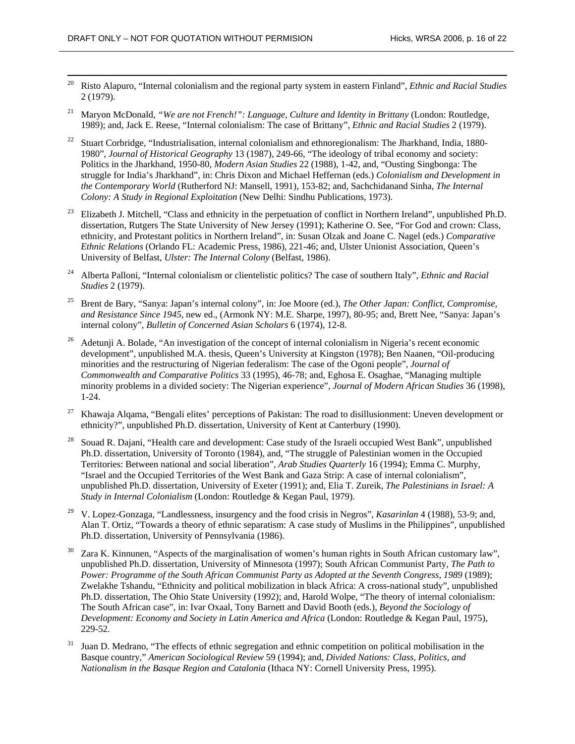- 20 Risto Alapuro, "Internal colonialism and the regional party system in eastern Finland", *Ethnic and Racial Studies* 2 (1979).
- 21 Maryon McDonald, *"We are not French!": Language, Culture and Identity in Brittany* (London: Routledge, 1989); and, Jack E. Reese, "Internal colonialism: The case of Brittany", *Ethnic and Racial Studies* 2 (1979).
- 22 Stuart Corbridge, "Industrialisation, internal colonialism and ethnoregionalism: The Jharkhand, India, 1880- 1980", *Journal of Historical Geography* 13 (1987), 249-66, "The ideology of tribal economy and society: Politics in the Jharkhand, 1950-80, *Modern Asian Studies* 22 (1988), 1-42, and, "Ousting Singbonga: The struggle for India's Jharkhand", in: Chris Dixon and Michael Heffernan (eds.) *Colonialism and Development in the Contemporary World* (Rutherford NJ: Mansell, 1991), 153-82; and, Sachchidanand Sinha, *The Internal Colony: A Study in Regional Exploitation* (New Delhi: Sindhu Publications, 1973).
- <sup>23</sup> Elizabeth J. Mitchell, "Class and ethnicity in the perpetuation of conflict in Northern Ireland", unpublished Ph.D. dissertation, Rutgers The State University of New Jersey (1991); Katherine O. See, "For God and crown: Class, ethnicity, and Protestant politics in Northern Ireland", in: Susan Olzak and Joane C. Nagel (eds.) *Comparative Ethnic Relations* (Orlando FL: Academic Press, 1986), 221-46; and, Ulster Unionist Association, Queen's University of Belfast, *Ulster: The Internal Colony* (Belfast, 1986).
- 24 Alberta Palloni, "Internal colonialism or clientelistic politics? The case of southern Italy", *Ethnic and Racial Studies* 2 (1979).
- 25 Brent de Bary, "Sanya: Japan's internal colony", in: Joe Moore (ed.), *The Other Japan: Conflict, Compromise, and Resistance Since 1945,* new ed., (Armonk NY: M.E. Sharpe, 1997), 80-95; and, Brett Nee, "Sanya: Japan's internal colony", *Bulletin of Concerned Asian Scholars* 6 (1974), 12-8.
- 26 Adetunji A. Bolade, "An investigation of the concept of internal colonialism in Nigeria's recent economic development", unpublished M.A. thesis, Queen's University at Kingston (1978); Ben Naanen, "Oil-producing minorities and the restructuring of Nigerian federalism: The case of the Ogoni people", *Journal of Commonwealth and Comparative Politics* 33 (1995), 46-78; and, Eghosa E. Osaghae, "Managing multiple minority problems in a divided society: The Nigerian experience", *Journal of Modern African Studies* 36 (1998), 1-24.
- <sup>27</sup> Khawaja Algama, "Bengali elites' perceptions of Pakistan: The road to disillusionment: Uneven development or ethnicity?", unpublished Ph.D. dissertation, University of Kent at Canterbury (1990).
- <sup>28</sup> Souad R. Dajani, "Health care and development: Case study of the Israeli occupied West Bank", unpublished Ph.D. dissertation, University of Toronto (1984), and, "The struggle of Palestinian women in the Occupied Territories: Between national and social liberation", *Arab Studies Quarterly* 16 (1994); Emma C. Murphy, "Israel and the Occupied Territories of the West Bank and Gaza Strip: A case of internal colonialism", unpublished Ph.D. dissertation, University of Exeter (1991); and, Elia T. Zureik, *The Palestinians in Israel: A Study in Internal Colonialism* (London: Routledge & Kegan Paul, 1979).
- 29 V. Lopez-Gonzaga, "Landlessness, insurgency and the food crisis in Negros", *Kasarinlan* 4 (1988), 53-9; and, Alan T. Ortiz, "Towards a theory of ethnic separatism: A case study of Muslims in the Philippines", unpublished Ph.D. dissertation, University of Pennsylvania (1986).
- Zara K. Kinnunen, "Aspects of the marginalisation of women's human rights in South African customary law", unpublished Ph.D. dissertation, University of Minnesota (1997); South African Communist Party, *The Path to Power: Programme of the South African Communist Party as Adopted at the Seventh Congress, 1989* (1989); Zwelakhe Tshandu, "Ethnicity and political mobilization in black Africa: A cross-national study", unpublished Ph.D. dissertation, The Ohio State University (1992); and, Harold Wolpe, "The theory of internal colonialism: The South African case", in: Ivar Oxaal, Tony Barnett and David Booth (eds.), *Beyond the Sociology of Development: Economy and Society in Latin America and Africa* (London: Routledge & Kegan Paul, 1975), 229-52.
- <sup>31</sup> Juan D. Medrano, "The effects of ethnic segregation and ethnic competition on political mobilisation in the Basque country," *American Sociological Review* 59 (1994); and, *Divided Nations: Class, Politics, and Nationalism in the Basque Region and Catalonia* (Ithaca NY: Cornell University Press, 1995).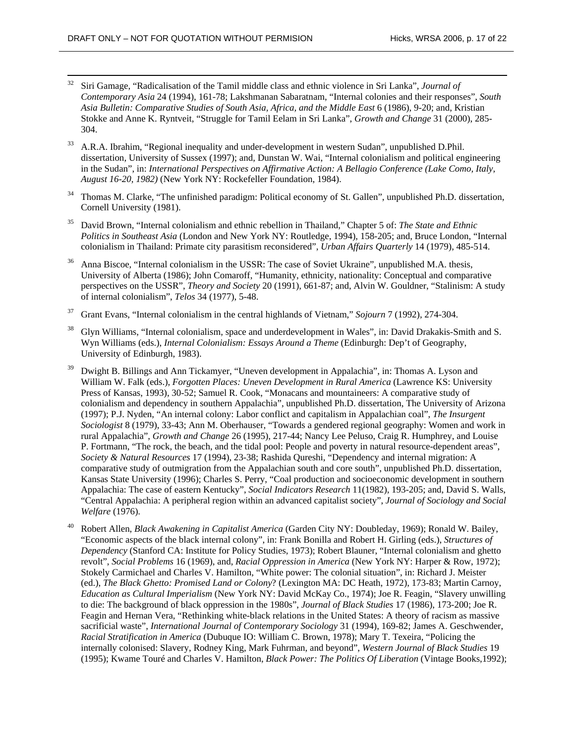- 32 Siri Gamage, "Radicalisation of the Tamil middle class and ethnic violence in Sri Lanka", *Journal of Contemporary Asia* 24 (1994), 161-78; Lakshmanan Sabaratnam, "Internal colonies and their responses", *South Asia Bulletin: Comparative Studies of South Asia, Africa, and the Middle East* 6 (1986), 9-20; and, Kristian Stokke and Anne K. Ryntveit, "Struggle for Tamil Eelam in Sri Lanka", *Growth and Change* 31 (2000), 285- 304.
- <sup>33</sup> A.R.A. Ibrahim, "Regional inequality and under-development in western Sudan", unpublished D.Phil. dissertation, University of Sussex (1997); and, Dunstan W. Wai, "Internal colonialism and political engineering in the Sudan", in: *International Perspectives on Affirmative Action: A Bellagio Conference (Lake Como, Italy, August 16-20, 1982)* (New York NY: Rockefeller Foundation, 1984).
- <sup>34</sup> Thomas M. Clarke, "The unfinished paradigm: Political economy of St. Gallen", unpublished Ph.D. dissertation, Cornell University (1981).
- 35 David Brown, "Internal colonialism and ethnic rebellion in Thailand," Chapter 5 of: *The State and Ethnic Politics in Southeast Asia* (London and New York NY: Routledge, 1994), 158-205; and, Bruce London, "Internal colonialism in Thailand: Primate city parasitism reconsidered", *Urban Affairs Quarterly* 14 (1979), 485-514.
- 36 Anna Biscoe, "Internal colonialism in the USSR: The case of Soviet Ukraine", unpublished M.A. thesis, University of Alberta (1986); John Comaroff, "Humanity, ethnicity, nationality: Conceptual and comparative perspectives on the USSR", *Theory and Society* 20 (1991), 661-87; and, Alvin W. Gouldner, "Stalinism: A study of internal colonialism", *Telos* 34 (1977), 5-48.
- 37 Grant Evans, "Internal colonialism in the central highlands of Vietnam," *Sojourn* 7 (1992), 274-304.
- 38 Glyn Williams, "Internal colonialism, space and underdevelopment in Wales", in: David Drakakis-Smith and S. Wyn Williams (eds.), *Internal Colonialism: Essays Around a Theme* (Edinburgh: Dep't of Geography, University of Edinburgh, 1983).
- 39 Dwight B. Billings and Ann Tickamyer, "Uneven development in Appalachia", in: Thomas A. Lyson and William W. Falk (eds.), *Forgotten Places: Uneven Development in Rural America* (Lawrence KS: University Press of Kansas, 1993), 30-52; Samuel R. Cook, "Monacans and mountaineers: A comparative study of colonialism and dependency in southern Appalachia", unpublished Ph.D. dissertation, The University of Arizona (1997); P.J. Nyden, "An internal colony: Labor conflict and capitalism in Appalachian coal", *The Insurgent Sociologist* 8 (1979), 33-43; Ann M. Oberhauser, "Towards a gendered regional geography: Women and work in rural Appalachia", *Growth and Change* 26 (1995), 217-44; Nancy Lee Peluso, Craig R. Humphrey, and Louise P. Fortmann, "The rock, the beach, and the tidal pool: People and poverty in natural resource-dependent areas", *Society & Natural Resources* 17 (1994), 23-38; Rashida Qureshi, "Dependency and internal migration: A comparative study of outmigration from the Appalachian south and core south", unpublished Ph.D. dissertation, Kansas State University (1996); Charles S. Perry, "Coal production and socioeconomic development in southern Appalachia: The case of eastern Kentucky", *Social Indicators Research* 11(1982), 193-205; and, David S. Walls, "Central Appalachia: A peripheral region within an advanced capitalist society", *Journal of Sociology and Social Welfare* (1976).
- 40 Robert Allen, *Black Awakening in Capitalist America* (Garden City NY: Doubleday, 1969); Ronald W. Bailey, "Economic aspects of the black internal colony", in: Frank Bonilla and Robert H. Girling (eds.), *Structures of Dependency* (Stanford CA: Institute for Policy Studies, 1973); Robert Blauner, "Internal colonialism and ghetto revolt", *Social Problems* 16 (1969), and, *Racial Oppression in America* (New York NY: Harper & Row, 1972); Stokely Carmichael and Charles V. Hamilton, "White power: The colonial situation", in: Richard J. Meister (ed.), *The Black Ghetto: Promised Land or Colony*? (Lexington MA: DC Heath, 1972), 173-83; Martin Carnoy, *Education as Cultural Imperialism* (New York NY: David McKay Co., 1974); Joe R. Feagin, "Slavery unwilling to die: The background of black oppression in the 1980s", *Journal of Black Studies* 17 (1986), 173-200; Joe R. Feagin and Hernan Vera, "Rethinking white-black relations in the United States: A theory of racism as massive sacrificial waste", *International Journal of Contemporary Sociology* 31 (1994), 169-82; James A. Geschwender, *Racial Stratification in America* (Dubuque IO: William C. Brown, 1978); Mary T. Texeira, "Policing the internally colonised: Slavery, Rodney King, Mark Fuhrman, and beyond", *Western Journal of Black Studies* 19 (1995); Kwame Touré and Charles V. Hamilton, *Black Power: The Politics Of Liberation* (Vintage Books,1992);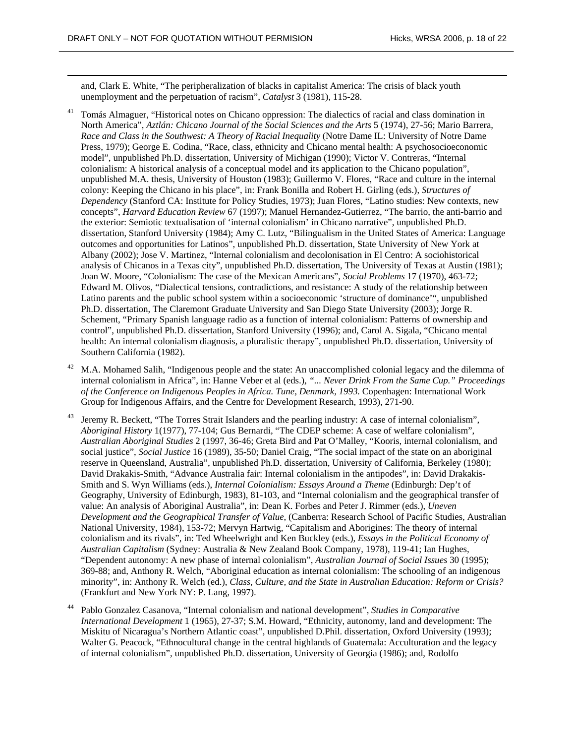and, Clark E. White, "The peripheralization of blacks in capitalist America: The crisis of black youth unemployment and the perpetuation of racism", *Catalyst* 3 (1981), 115-28.

- 41 Tomás Almaguer, "Historical notes on Chicano oppression: The dialectics of racial and class domination in North America", *Aztlán: Chicano Journal of the Social Sciences and the Arts* 5 (1974), 27-56; Mario Barrera, *Race and Class in the Southwest: A Theory of Racial Inequality* (Notre Dame IL: University of Notre Dame Press, 1979); George E. Codina, "Race, class, ethnicity and Chicano mental health: A psychosocioeconomic model", unpublished Ph.D. dissertation, University of Michigan (1990); Victor V. Contreras, "Internal colonialism: A historical analysis of a conceptual model and its application to the Chicano population", unpublished M.A. thesis, University of Houston (1983); Guillermo V. Flores, "Race and culture in the internal colony: Keeping the Chicano in his place", in: Frank Bonilla and Robert H. Girling (eds.), *Structures of Dependency* (Stanford CA: Institute for Policy Studies, 1973); Juan Flores, "Latino studies: New contexts, new concepts", *Harvard Education Review* 67 (1997); Manuel Hernandez-Gutierrez, "The barrio, the anti-barrio and the exterior: Semiotic textualisation of 'internal colonialism' in Chicano narrative", unpublished Ph.D. dissertation, Stanford University (1984); Amy C. Lutz, "Bilingualism in the United States of America: Language outcomes and opportunities for Latinos", unpublished Ph.D. dissertation, State University of New York at Albany (2002); Jose V. Martinez, "Internal colonialism and decolonisation in El Centro: A sociohistorical analysis of Chicanos in a Texas city", unpublished Ph.D. dissertation, The University of Texas at Austin (1981); Joan W. Moore, "Colonialism: The case of the Mexican Americans", *Social Problems* 17 (1970), 463-72; Edward M. Olivos, "Dialectical tensions, contradictions, and resistance: A study of the relationship between Latino parents and the public school system within a socioeconomic 'structure of dominance'", unpublished Ph.D. dissertation, The Claremont Graduate University and San Diego State University (2003); Jorge R. Schement, "Primary Spanish language radio as a function of internal colonialism: Patterns of ownership and control", unpublished Ph.D. dissertation, Stanford University (1996); and, Carol A. Sigala, "Chicano mental health: An internal colonialism diagnosis, a pluralistic therapy", unpublished Ph.D. dissertation, University of Southern California (1982).
- M.A. Mohamed Salih, "Indigenous people and the state: An unaccomplished colonial legacy and the dilemma of internal colonialism in Africa", in: Hanne Veber et al (eds.), *"... Never Drink From the Same Cup." Proceedings of the Conference on Indigenous Peoples in Africa. Tune, Denmark, 1993.* Copenhagen: International Work Group for Indigenous Affairs, and the Centre for Development Research, 1993), 271-90.
- Jeremy R. Beckett, "The Torres Strait Islanders and the pearling industry: A case of internal colonialism", *Aboriginal History* 1(1977), 77-104; Gus Bernardi, "The CDEP scheme: A case of welfare colonialism", *Australian Aboriginal Studies* 2 (1997, 36-46; Greta Bird and Pat O'Malley, "Kooris, internal colonialism, and social justice", *Social Justice* 16 (1989), 35-50; Daniel Craig, "The social impact of the state on an aboriginal reserve in Queensland, Australia", unpublished Ph.D. dissertation, University of California, Berkeley (1980); David Drakakis-Smith, "Advance Australia fair: Internal colonialism in the antipodes", in: David Drakakis-Smith and S. Wyn Williams (eds.), *Internal Colonialism: Essays Around a Theme* (Edinburgh: Dep't of Geography, University of Edinburgh, 1983), 81-103, and "Internal colonialism and the geographical transfer of value: An analysis of Aboriginal Australia", in: Dean K. Forbes and Peter J. Rimmer (eds.), *Uneven Development and the Geographical Transfer of Value*, (Canberra: Research School of Pacific Studies, Australian National University, 1984), 153-72; Mervyn Hartwig, "Capitalism and Aborigines: The theory of internal colonialism and its rivals", in: Ted Wheelwright and Ken Buckley (eds.), *Essays in the Political Economy of Australian Capitalism* (Sydney: Australia & New Zealand Book Company, 1978), 119-41; Ian Hughes, "Dependent autonomy: A new phase of internal colonialism", *Australian Journal of Social Issues* 30 (1995); 369-88; and, Anthony R. Welch, "Aboriginal education as internal colonialism: The schooling of an indigenous minority", in: Anthony R. Welch (ed.), *Class, Culture, and the State in Australian Education: Reform or Crisis?*  (Frankfurt and New York NY: P. Lang, 1997).
- 44 Pablo Gonzalez Casanova, "Internal colonialism and national development", *Studies in Comparative International Development* 1 (1965), 27-37; S.M. Howard, "Ethnicity, autonomy, land and development: The Miskitu of Nicaragua's Northern Atlantic coast", unpublished D.Phil. dissertation, Oxford University (1993); Walter G. Peacock, "Ethnocultural change in the central highlands of Guatemala: Acculturation and the legacy of internal colonialism", unpublished Ph.D. dissertation, University of Georgia (1986); and, Rodolfo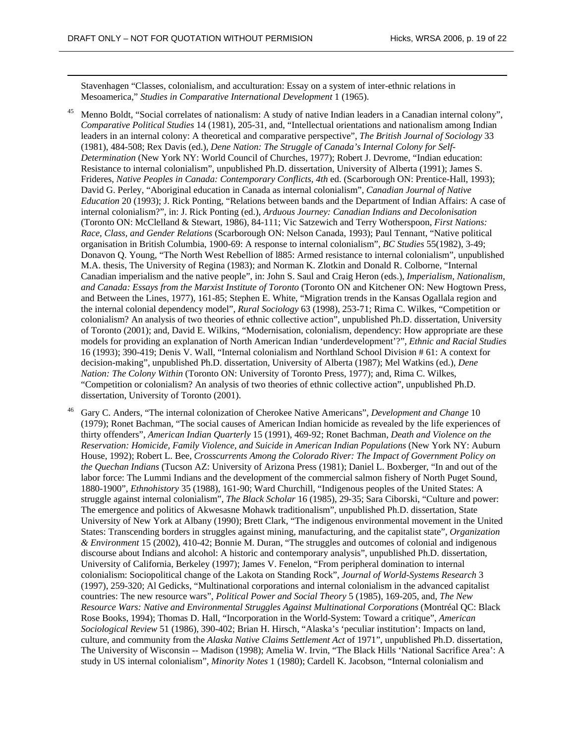Stavenhagen "Classes, colonialism, and acculturation: Essay on a system of inter-ethnic relations in Mesoamerica," *Studies in Comparative International Development* 1 (1965).

- Menno Boldt, "Social correlates of nationalism: A study of native Indian leaders in a Canadian internal colony", *Comparative Political Studies* 14 (1981), 205-31, and, "Intellectual orientations and nationalism among Indian leaders in an internal colony: A theoretical and comparative perspective", *The British Journal of Sociology* 33 (1981), 484-508; Rex Davis (ed.), *Dene Nation: The Struggle of Canada's Internal Colony for Self-Determination* (New York NY: World Council of Churches, 1977); Robert J. Devrome, "Indian education: Resistance to internal colonialism", unpublished Ph.D. dissertation, University of Alberta (1991); James S. Frideres, *Native Peoples in Canada: Contemporary Conflicts, 4th* ed. (Scarborough ON: Prentice-Hall, 1993); David G. Perley, "Aboriginal education in Canada as internal colonialism", *Canadian Journal of Native Education* 20 (1993); J. Rick Ponting, "Relations between bands and the Department of Indian Affairs: A case of internal colonialism?", in: J. Rick Ponting (ed.), *Arduous Journey: Canadian Indians and Decolonisation* (Toronto ON: McClelland & Stewart, 1986), 84-111; Vic Satzewich and Terry Wotherspoon, *First Nations: Race, Class, and Gender Relations* (Scarborough ON: Nelson Canada, 1993); Paul Tennant, "Native political organisation in British Columbia, 1900-69: A response to internal colonialism", *BC Studies* 55(1982), 3-49; Donavon Q. Young, "The North West Rebellion of l885: Armed resistance to internal colonialism", unpublished M.A. thesis, The University of Regina (1983); and Norman K. Zlotkin and Donald R. Colborne, "Internal Canadian imperialism and the native people", in: John S. Saul and Craig Heron (eds.), *Imperialism, Nationalism, and Canada: Essays from the Marxist Institute of Toronto* (Toronto ON and Kitchener ON: New Hogtown Press, and Between the Lines, 1977), 161-85; Stephen E. White, "Migration trends in the Kansas Ogallala region and the internal colonial dependency model", *Rural Sociology* 63 (1998), 253-71; Rima C. Wilkes, "Competition or colonialism? An analysis of two theories of ethnic collective action", unpublished Ph.D. dissertation, University of Toronto (2001); and, David E. Wilkins, "Modernisation, colonialism, dependency: How appropriate are these models for providing an explanation of North American Indian 'underdevelopment'?", *Ethnic and Racial Studies* 16 (1993); 390-419; Denis V. Wall, "Internal colonialism and Northland School Division # 61: A context for decision-making", unpublished Ph.D. dissertation, University of Alberta (1987); Mel Watkins (ed.), *Dene Nation: The Colony Within* (Toronto ON: University of Toronto Press, 1977); and, Rima C. Wilkes, "Competition or colonialism? An analysis of two theories of ethnic collective action", unpublished Ph.D. dissertation, University of Toronto (2001).
- 46 Gary C. Anders, "The internal colonization of Cherokee Native Americans", *Development and Change* 10 (1979); Ronet Bachman, "The social causes of American Indian homicide as revealed by the life experiences of thirty offenders", *American Indian Quarterly* 15 (1991), 469-92; Ronet Bachman, *Death and Violence on the Reservation: Homicide, Family Violence, and Suicide in American Indian Populations* (New York NY: Auburn House, 1992); Robert L. Bee, *Crosscurrents Among the Colorado River: The Impact of Government Policy on the Quechan Indians* (Tucson AZ: University of Arizona Press (1981); Daniel L. Boxberger, "In and out of the labor force: The Lummi Indians and the development of the commercial salmon fishery of North Puget Sound, 1880-1900", *Ethnohistory* 35 (1988), 161-90; Ward Churchill, "Indigenous peoples of the United States: A struggle against internal colonialism", *The Black Scholar* 16 (1985), 29-35; Sara Ciborski, "Culture and power: The emergence and politics of Akwesasne Mohawk traditionalism", unpublished Ph.D. dissertation, State University of New York at Albany (1990); Brett Clark, "The indigenous environmental movement in the United States: Transcending borders in struggles against mining, manufacturing, and the capitalist state", *Organization & Environment* 15 (2002), 410-42; Bonnie M. Duran, "The struggles and outcomes of colonial and indigenous discourse about Indians and alcohol: A historic and contemporary analysis", unpublished Ph.D. dissertation, University of California, Berkeley (1997); James V. Fenelon, "From peripheral domination to internal colonialism: Sociopolitical change of the Lakota on Standing Rock", *Journal of World-Systems Research* 3 (1997), 259-320; Al Gedicks, "Multinational corporations and internal colonialism in the advanced capitalist countries: The new resource wars", *Political Power and Social Theory* 5 (1985), 169-205, and, *The New Resource Wars: Native and Environmental Struggles Against Multinational Corporations* (Montréal QC: Black Rose Books, 1994); Thomas D. Hall, "Incorporation in the World-System: Toward a critique", *American Sociological Review* 51 (1986), 390-402; Brian H. Hirsch, "Alaska's 'peculiar institution': Impacts on land, culture, and community from the *Alaska Native Claims Settlement Act* of 1971", unpublished Ph.D. dissertation, The University of Wisconsin -- Madison (1998); Amelia W. Irvin, "The Black Hills 'National Sacrifice Area': A study in US internal colonialism", *Minority Notes* 1 (1980); Cardell K. Jacobson, "Internal colonialism and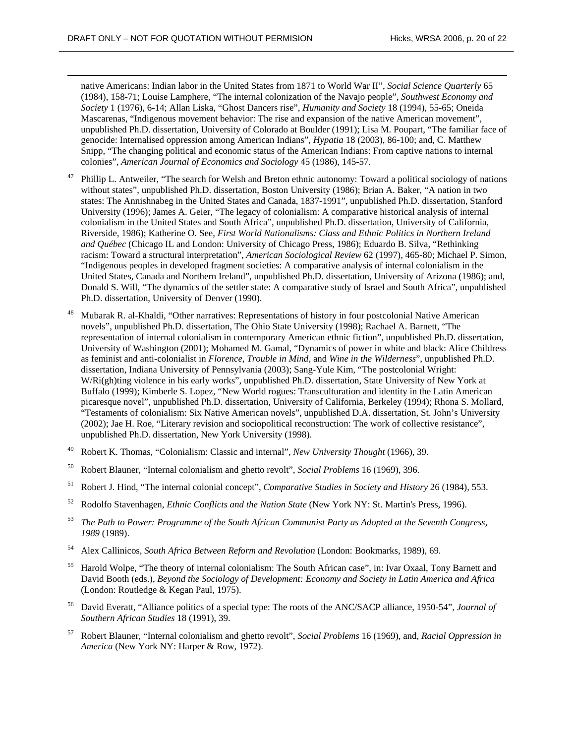native Americans: Indian labor in the United States from 1871 to World War II", *Social Science Quarterly*<sup>65</sup> (1984), 158-71; Louise Lamphere, "The internal colonization of the Navajo people", *Southwest Economy and Society* 1 (1976), 6-14; Allan Liska, "Ghost Dancers rise", *Humanity and Society* 18 (1994), 55-65; Oneida Mascarenas, "Indigenous movement behavior: The rise and expansion of the native American movement", unpublished Ph.D. dissertation, University of Colorado at Boulder (1991); Lisa M. Poupart, "The familiar face of genocide: Internalised oppression among American Indians", *Hypatia* 18 (2003), 86-100; and, C. Matthew Snipp, "The changing political and economic status of the American Indians: From captive nations to internal colonies", *American Journal of Economics and Sociology* 45 (1986), 145-57.

- 47 Phillip L. Antweiler, "The search for Welsh and Breton ethnic autonomy: Toward a political sociology of nations without states", unpublished Ph.D. dissertation, Boston University (1986); Brian A. Baker, "A nation in two states: The Annishnabeg in the United States and Canada, 1837-1991", unpublished Ph.D. dissertation, Stanford University (1996); James A. Geier, "The legacy of colonialism: A comparative historical analysis of internal colonialism in the United States and South Africa", unpublished Ph.D. dissertation, University of California, Riverside, 1986); Katherine O. See, *First World Nationalisms: Class and Ethnic Politics in Northern Ireland and Québec* (Chicago IL and London: University of Chicago Press, 1986); Eduardo B. Silva, "Rethinking racism: Toward a structural interpretation", *American Sociological Review* 62 (1997), 465-80; Michael P. Simon, "Indigenous peoples in developed fragment societies: A comparative analysis of internal colonialism in the United States, Canada and Northern Ireland", unpublished Ph.D. dissertation, University of Arizona (1986); and, Donald S. Will, "The dynamics of the settler state: A comparative study of Israel and South Africa", unpublished Ph.D. dissertation, University of Denver (1990).
- 48 Mubarak R. al-Khaldi, "Other narratives: Representations of history in four postcolonial Native American novels", unpublished Ph.D. dissertation, The Ohio State University (1998); Rachael A. Barnett, "The representation of internal colonialism in contemporary American ethnic fiction", unpublished Ph.D. dissertation, University of Washington (2001); Mohamed M. Gamal, "Dynamics of power in white and black: Alice Childress as feminist and anti-colonialist in *Florence, Trouble in Mind,* and *Wine in the Wilderness*", unpublished Ph.D. dissertation, Indiana University of Pennsylvania (2003); Sang-Yule Kim, "The postcolonial Wright: W/Ri(gh)ting violence in his early works", unpublished Ph.D. dissertation, State University of New York at Buffalo (1999); Kimberle S. Lopez, "New World rogues: Transculturation and identity in the Latin American picaresque novel", unpublished Ph.D. dissertation, University of California, Berkeley (1994); Rhona S. Mollard, "Testaments of colonialism: Six Native American novels", unpublished D.A. dissertation, St. John's University (2002); Jae H. Roe, "Literary revision and sociopolitical reconstruction: The work of collective resistance", unpublished Ph.D. dissertation, New York University (1998).
- 49 Robert K. Thomas, "Colonialism: Classic and internal", *New University Thought* (1966), 39.
- 50 Robert Blauner, "Internal colonialism and ghetto revolt", *Social Problems* 16 (1969), 396.
- 51 Robert J. Hind, "The internal colonial concept", *Comparative Studies in Society and History* 26 (1984), 553.
- 52 Rodolfo Stavenhagen, *Ethnic Conflicts and the Nation State* (New York NY: St. Martin's Press, 1996).
- 53 *The Path to Power: Programme of the South African Communist Party as Adopted at the Seventh Congress, 1989* (1989).
- 54 Alex Callinicos, *South Africa Between Reform and Revolution* (London: Bookmarks, 1989), 69.
- 55 Harold Wolpe, "The theory of internal colonialism: The South African case", in: Ivar Oxaal, Tony Barnett and David Booth (eds.), *Beyond the Sociology of Development: Economy and Society in Latin America and Africa* (London: Routledge & Kegan Paul, 1975).
- 56 David Everatt, "Alliance politics of a special type: The roots of the ANC/SACP alliance, 1950-54", *Journal of Southern African Studies* 18 (1991), 39.
- 57 Robert Blauner, "Internal colonialism and ghetto revolt", *Social Problems* 16 (1969), and, *Racial Oppression in America* (New York NY: Harper & Row, 1972).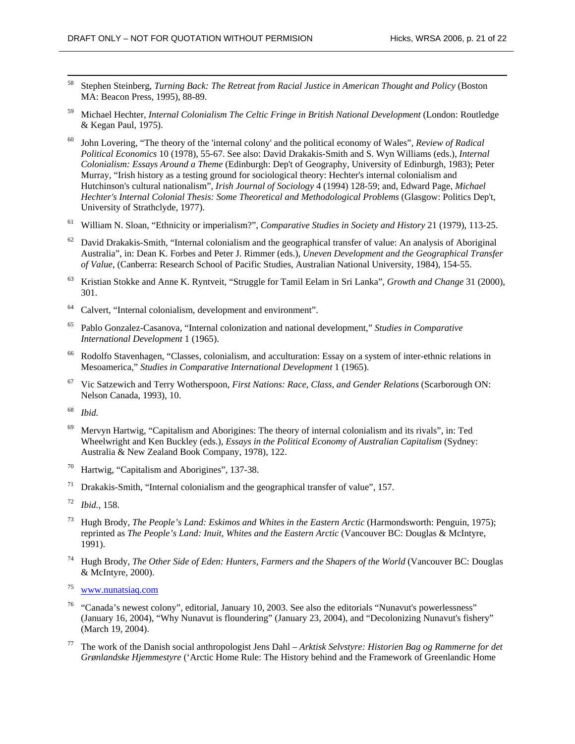- 58 Stephen Steinberg, *Turning Back: The Retreat from Racial Justice in American Thought and Policy* (Boston MA: Beacon Press, 1995), 88-89.
- 59 Michael Hechter, *Internal Colonialism The Celtic Fringe in British National Development* (London: Routledge & Kegan Paul, 1975).
- 60 John Lovering, "The theory of the 'internal colony' and the political economy of Wales", *Review of Radical Political Economics* 10 (1978), 55-67. See also: David Drakakis-Smith and S. Wyn Williams (eds.), *Internal Colonialism: Essays Around a Theme* (Edinburgh: Dep't of Geography, University of Edinburgh, 1983); Peter Murray, "Irish history as a testing ground for sociological theory: Hechter's internal colonialism and Hutchinson's cultural nationalism", *Irish Journal of Sociology* 4 (1994) 128-59; and, Edward Page, *Michael Hechter's Internal Colonial Thesis: Some Theoretical and Methodological Problems* (Glasgow: Politics Dep't, University of Strathclyde, 1977).
- 61 William N. Sloan, "Ethnicity or imperialism?", *Comparative Studies in Society and History* 21 (1979), 113-25.
- 62 David Drakakis-Smith, "Internal colonialism and the geographical transfer of value: An analysis of Aboriginal Australia", in: Dean K. Forbes and Peter J. Rimmer (eds.), *Uneven Development and the Geographical Transfer of Value*, (Canberra: Research School of Pacific Studies, Australian National University, 1984), 154-55.
- 63 Kristian Stokke and Anne K. Ryntveit, "Struggle for Tamil Eelam in Sri Lanka", *Growth and Change* 31 (2000), 301.
- 64 Calvert, "Internal colonialism, development and environment".
- 65 Pablo Gonzalez-Casanova, "Internal colonization and national development," *Studies in Comparative International Development* 1 (1965).
- <sup>66</sup> Rodolfo Stavenhagen, "Classes, colonialism, and acculturation: Essay on a system of inter-ethnic relations in Mesoamerica," *Studies in Comparative International Development* 1 (1965).
- 67 Vic Satzewich and Terry Wotherspoon, *First Nations: Race, Class, and Gender Relations* (Scarborough ON: Nelson Canada, 1993), 10.
- 68 *Ibid.*
- 69 Mervyn Hartwig, "Capitalism and Aborigines: The theory of internal colonialism and its rivals", in: Ted Wheelwright and Ken Buckley (eds.), *Essays in the Political Economy of Australian Capitalism* (Sydney: Australia & New Zealand Book Company, 1978), 122.
- 70 Hartwig, "Capitalism and Aborigines", 137-38.
- <sup>71</sup> Drakakis-Smith, "Internal colonialism and the geographical transfer of value", 157.
- 72 *Ibid.,* 158.
- Hugh Brody, *The People's Land: Eskimos and Whites in the Eastern Arctic* (Harmondsworth: Penguin, 1975); reprinted as *The People's Land: Inuit, Whites and the Eastern Arctic* (Vancouver BC: Douglas & McIntyre, 1991).
- 74 Hugh Brody, *The Other Side of Eden: Hunters, Farmers and the Shapers of the World* (Vancouver BC: Douglas & McIntyre, 2000).
- 75 www.nunatsiaq.com
- 76 "Canada's newest colony", editorial, January 10, 2003. See also the editorials "Nunavut's powerlessness" (January 16, 2004), "Why Nunavut is floundering" (January 23, 2004), and "Decolonizing Nunavut's fishery" (March 19, 2004).
- 77 The work of the Danish social anthropologist Jens Dahl *Arktisk Selvstyre: Historien Bag og Rammerne for det Grønlandske Hjemmestyre* ('Arctic Home Rule: The History behind and the Framework of Greenlandic Home